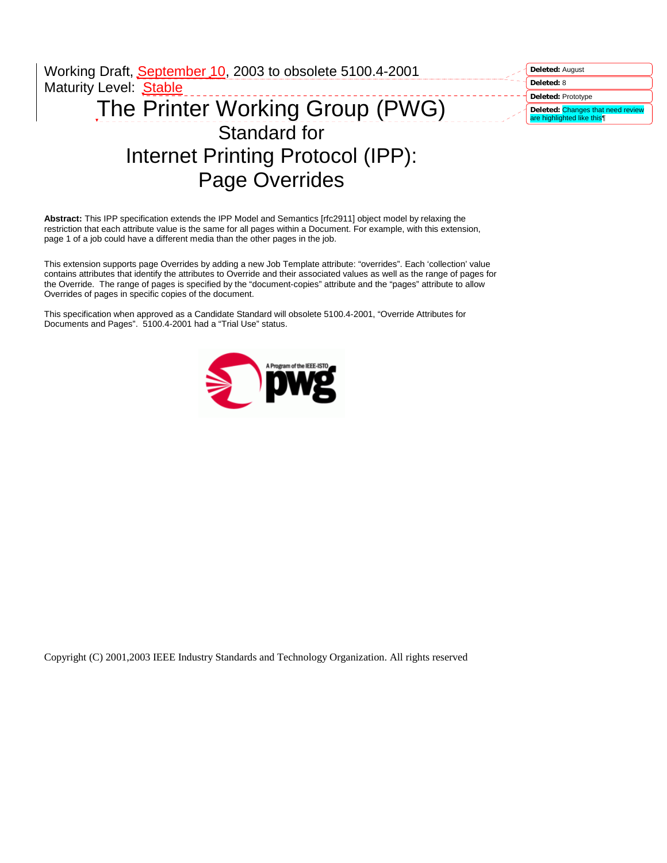| Working Draft, September 10, 2003 to obsolete 5100.4-2001 | Deleted: August                                                 |
|-----------------------------------------------------------|-----------------------------------------------------------------|
| <b>Maturity Level: Stable</b>                             | Deleted: 8                                                      |
|                                                           | Deleted: Prototype                                              |
| The Printer Working Group (PWG)                           | Deleted: Changes that need review<br>are highlighted like this¶ |
| Standard for                                              |                                                                 |
| Internet Printing Protocol (IPP):                         |                                                                 |
| <b>Page Overrides</b>                                     |                                                                 |

**Abstract:** This IPP specification extends the IPP Model and Semantics [rfc2911] object model by relaxing the restriction that each attribute value is the same for all pages within a Document. For example, with this extension, page 1 of a job could have a different media than the other pages in the job.

This extension supports page Overrides by adding a new Job Template attribute: "overrides". Each 'collection' value contains attributes that identify the attributes to Override and their associated values as well as the range of pages for the Override. The range of pages is specified by the "document-copies" attribute and the "pages" attribute to allow Overrides of pages in specific copies of the document.

This specification when approved as a Candidate Standard will obsolete 5100.4-2001, "Override Attributes for Documents and Pages". 5100.4-2001 had a "Trial Use" status.



Copyright (C) 2001,2003 IEEE Industry Standards and Technology Organization. All rights reserved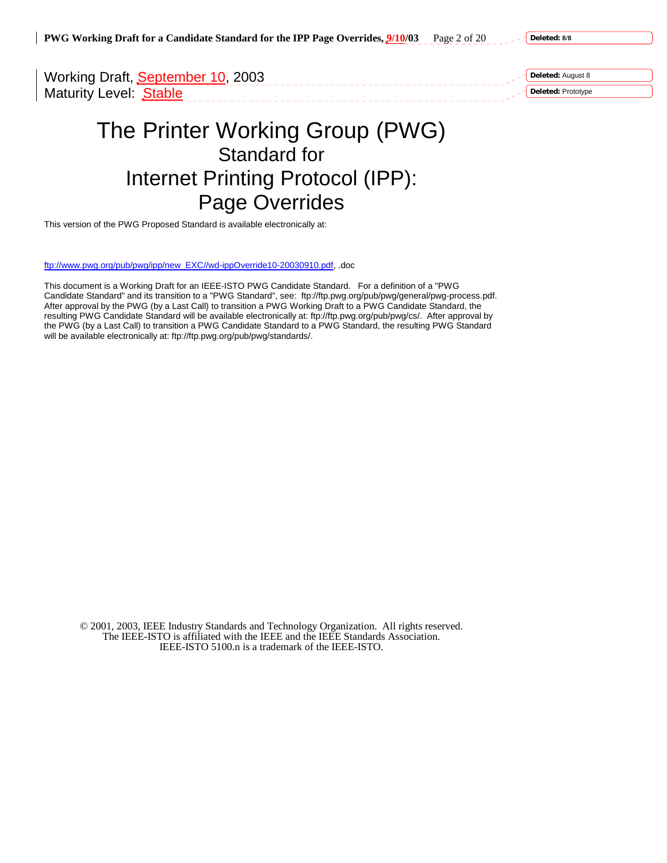**PWG Working Draft for a Candidate Standard for the IPP Page Overrides, 9/10/03** Page 2 of 20

**Deleted: 8/8**

Working Draft, September 10, 2003 Maturity Level: Stable

**Deleted:** August 8

**Deleted:** Prototype

# The Printer Working Group (PWG) Standard for Internet Printing Protocol (IPP): Page Overrides

This version of the PWG Proposed Standard is available electronically at:

ftp://www.pwg.org/pub/pwg/ipp/new\_EXC//wd-ippOverride10-20030910.pdf, .doc

This document is a Working Draft for an IEEE-ISTO PWG Candidate Standard. For a definition of a "PWG Candidate Standard" and its transition to a "PWG Standard", see: ftp://ftp.pwg.org/pub/pwg/general/pwg-process.pdf. After approval by the PWG (by a Last Call) to transition a PWG Working Draft to a PWG Candidate Standard, the resulting PWG Candidate Standard will be available electronically at: ftp://ftp.pwg.org/pub/pwg/cs/. After approval by the PWG (by a Last Call) to transition a PWG Candidate Standard to a PWG Standard, the resulting PWG Standard will be available electronically at: ftp://ftp.pwg.org/pub/pwg/standards/.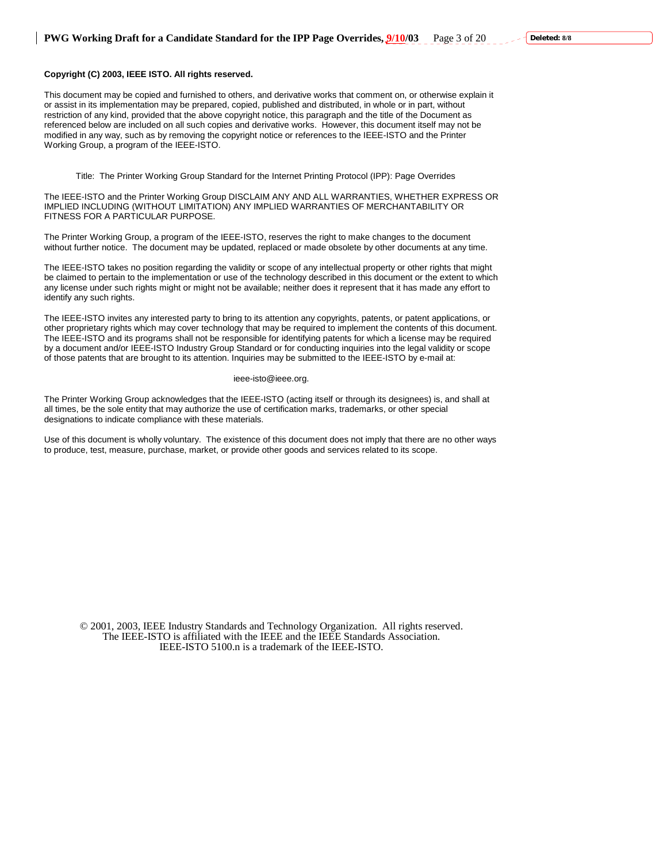### **Copyright (C) 2003, IEEE ISTO. All rights reserved.**

This document may be copied and furnished to others, and derivative works that comment on, or otherwise explain it or assist in its implementation may be prepared, copied, published and distributed, in whole or in part, without restriction of any kind, provided that the above copyright notice, this paragraph and the title of the Document as referenced below are included on all such copies and derivative works. However, this document itself may not be modified in any way, such as by removing the copyright notice or references to the IEEE-ISTO and the Printer Working Group, a program of the IEEE-ISTO.

Title: The Printer Working Group Standard for the Internet Printing Protocol (IPP): Page Overrides

The IEEE-ISTO and the Printer Working Group DISCLAIM ANY AND ALL WARRANTIES, WHETHER EXPRESS OR IMPLIED INCLUDING (WITHOUT LIMITATION) ANY IMPLIED WARRANTIES OF MERCHANTABILITY OR FITNESS FOR A PARTICULAR PURPOSE.

The Printer Working Group, a program of the IEEE-ISTO, reserves the right to make changes to the document without further notice. The document may be updated, replaced or made obsolete by other documents at any time.

The IEEE-ISTO takes no position regarding the validity or scope of any intellectual property or other rights that might be claimed to pertain to the implementation or use of the technology described in this document or the extent to which any license under such rights might or might not be available; neither does it represent that it has made any effort to identify any such rights.

The IEEE-ISTO invites any interested party to bring to its attention any copyrights, patents, or patent applications, or other proprietary rights which may cover technology that may be required to implement the contents of this document. The IEEE-ISTO and its programs shall not be responsible for identifying patents for which a license may be required by a document and/or IEEE-ISTO Industry Group Standard or for conducting inquiries into the legal validity or scope of those patents that are brought to its attention. Inquiries may be submitted to the IEEE-ISTO by e-mail at:

#### ieee-isto@ieee.org.

The Printer Working Group acknowledges that the IEEE-ISTO (acting itself or through its designees) is, and shall at all times, be the sole entity that may authorize the use of certification marks, trademarks, or other special designations to indicate compliance with these materials.

Use of this document is wholly voluntary. The existence of this document does not imply that there are no other ways to produce, test, measure, purchase, market, or provide other goods and services related to its scope.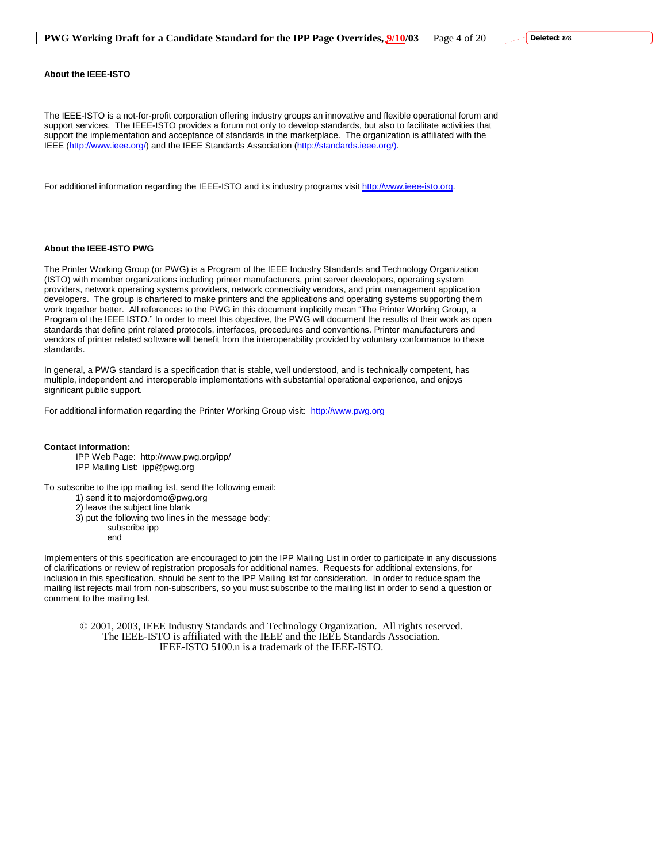#### **About the IEEE-ISTO**

The IEEE-ISTO is a not-for-profit corporation offering industry groups an innovative and flexible operational forum and support services. The IEEE-ISTO provides a forum not only to develop standards, but also to facilitate activities that support the implementation and acceptance of standards in the marketplace. The organization is affiliated with the IEEE (http://www.ieee.org/) and the IEEE Standards Association (http://standards.ieee.org/).

For additional information regarding the IEEE-ISTO and its industry programs visit http://www.ieee-isto.org.

### **About the IEEE-ISTO PWG**

The Printer Working Group (or PWG) is a Program of the IEEE Industry Standards and Technology Organization (ISTO) with member organizations including printer manufacturers, print server developers, operating system providers, network operating systems providers, network connectivity vendors, and print management application developers. The group is chartered to make printers and the applications and operating systems supporting them work together better. All references to the PWG in this document implicitly mean "The Printer Working Group, a Program of the IEEE ISTO." In order to meet this objective, the PWG will document the results of their work as open standards that define print related protocols, interfaces, procedures and conventions. Printer manufacturers and vendors of printer related software will benefit from the interoperability provided by voluntary conformance to these standards.

In general, a PWG standard is a specification that is stable, well understood, and is technically competent, has multiple, independent and interoperable implementations with substantial operational experience, and enjoys significant public support.

For additional information regarding the Printer Working Group visit: http://www.pwg.org

#### **Contact information:**

IPP Web Page: http://www.pwg.org/ipp/ IPP Mailing List: ipp@pwg.org

To subscribe to the ipp mailing list, send the following email:

- 1) send it to majordomo@pwg.org
- 2) leave the subject line blank
- 3) put the following two lines in the message body:
	- subscribe ipp
	- end

Implementers of this specification are encouraged to join the IPP Mailing List in order to participate in any discussions of clarifications or review of registration proposals for additional names. Requests for additional extensions, for inclusion in this specification, should be sent to the IPP Mailing list for consideration. In order to reduce spam the mailing list rejects mail from non-subscribers, so you must subscribe to the mailing list in order to send a question or comment to the mailing list.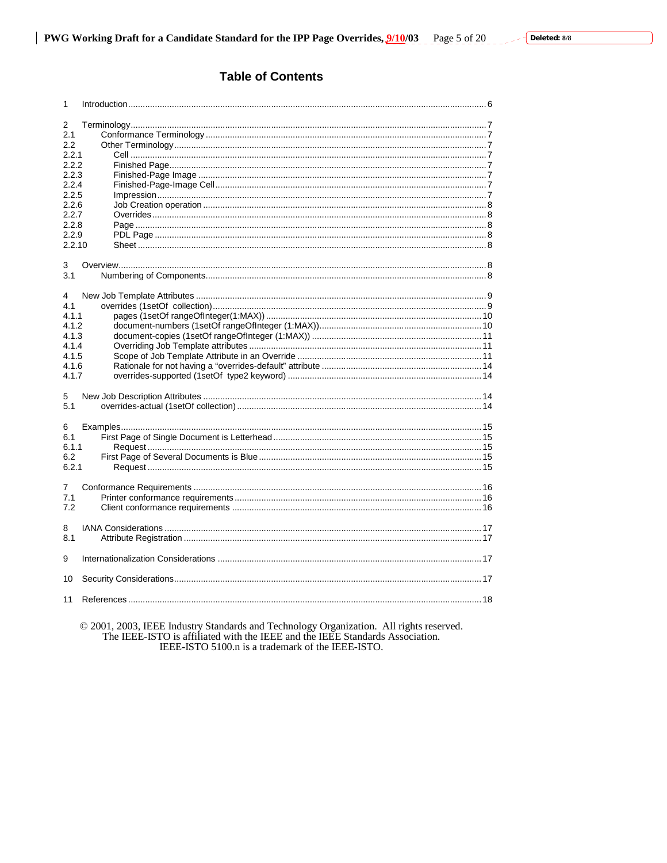# **Table of Contents**

| 1      |  |  |  |  |
|--------|--|--|--|--|
|        |  |  |  |  |
| 2      |  |  |  |  |
| 2.1    |  |  |  |  |
| 2.2    |  |  |  |  |
| 2.2.1  |  |  |  |  |
| 2.2.2  |  |  |  |  |
| 2.2.3  |  |  |  |  |
| 2.2.4  |  |  |  |  |
| 2.2.5  |  |  |  |  |
| 2.2.6  |  |  |  |  |
| 2.2.7  |  |  |  |  |
| 2.2.8  |  |  |  |  |
| 2.2.9  |  |  |  |  |
| 2.2.10 |  |  |  |  |
|        |  |  |  |  |
| 3      |  |  |  |  |
| 3.1    |  |  |  |  |
|        |  |  |  |  |
| 4      |  |  |  |  |
| 4.1    |  |  |  |  |
| 4.1.1  |  |  |  |  |
| 4.1.2  |  |  |  |  |
| 4.1.3  |  |  |  |  |
| 4.1.4  |  |  |  |  |
| 4.1.5  |  |  |  |  |
| 4.1.6  |  |  |  |  |
|        |  |  |  |  |
| 4.1.7  |  |  |  |  |
|        |  |  |  |  |
| 5      |  |  |  |  |
| 5.1    |  |  |  |  |
|        |  |  |  |  |
| 6      |  |  |  |  |
| 6.1    |  |  |  |  |
| 6.1.1  |  |  |  |  |
| 6.2    |  |  |  |  |
| 6.2.1  |  |  |  |  |
|        |  |  |  |  |
| 7      |  |  |  |  |
| 7.1    |  |  |  |  |
| 7.2    |  |  |  |  |
|        |  |  |  |  |
| 8      |  |  |  |  |
| 8.1    |  |  |  |  |
|        |  |  |  |  |
| 9      |  |  |  |  |
|        |  |  |  |  |
| 10     |  |  |  |  |
|        |  |  |  |  |
| 11     |  |  |  |  |
|        |  |  |  |  |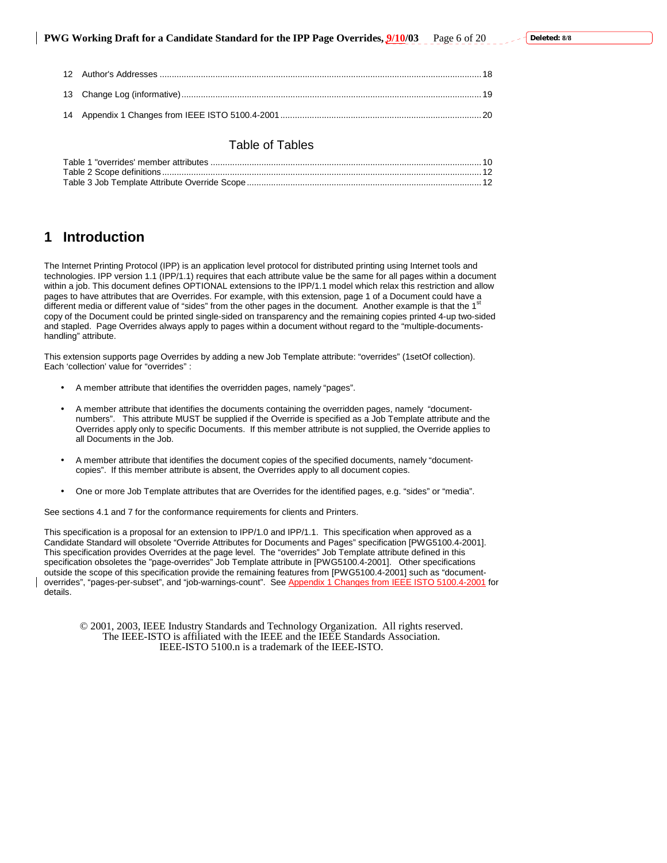# Table of Tables

# **1 Introduction**

The Internet Printing Protocol (IPP) is an application level protocol for distributed printing using Internet tools and technologies. IPP version 1.1 (IPP/1.1) requires that each attribute value be the same for all pages within a document within a job. This document defines OPTIONAL extensions to the IPP/1.1 model which relax this restriction and allow pages to have attributes that are Overrides. For example, with this extension, page 1 of a Document could have a different media or different value of "sides" from the other pages in the document. Another example is that the 1<sup>s</sup> copy of the Document could be printed single-sided on transparency and the remaining copies printed 4-up two-sided and stapled. Page Overrides always apply to pages within a document without regard to the "multiple-documentshandling" attribute.

This extension supports page Overrides by adding a new Job Template attribute: "overrides" (1setOf collection). Each 'collection' value for "overrides" :

- A member attribute that identifies the overridden pages, namely "pages".
- A member attribute that identifies the documents containing the overridden pages, namely "documentnumbers". This attribute MUST be supplied if the Override is specified as a Job Template attribute and the Overrides apply only to specific Documents. If this member attribute is not supplied, the Override applies to all Documents in the Job.
- A member attribute that identifies the document copies of the specified documents, namely "documentcopies". If this member attribute is absent, the Overrides apply to all document copies.
- One or more Job Template attributes that are Overrides for the identified pages, e.g. "sides" or "media".

See sections 4.1 and 7 for the conformance requirements for clients and Printers.

This specification is a proposal for an extension to IPP/1.0 and IPP/1.1. This specification when approved as a Candidate Standard will obsolete "Override Attributes for Documents and Pages" specification [PWG5100.4-2001]. This specification provides Overrides at the page level. The "overrides" Job Template attribute defined in this specification obsoletes the "page-overrides" Job Template attribute in [PWG5100.4-2001]. Other specifications outside the scope of this specification provide the remaining features from [PWG5100.4-2001] such as "documentoverrides", "pages-per-subset", and "job-warnings-count". See Appendix 1 Changes from IEEE ISTO 5100.4-2001 for details.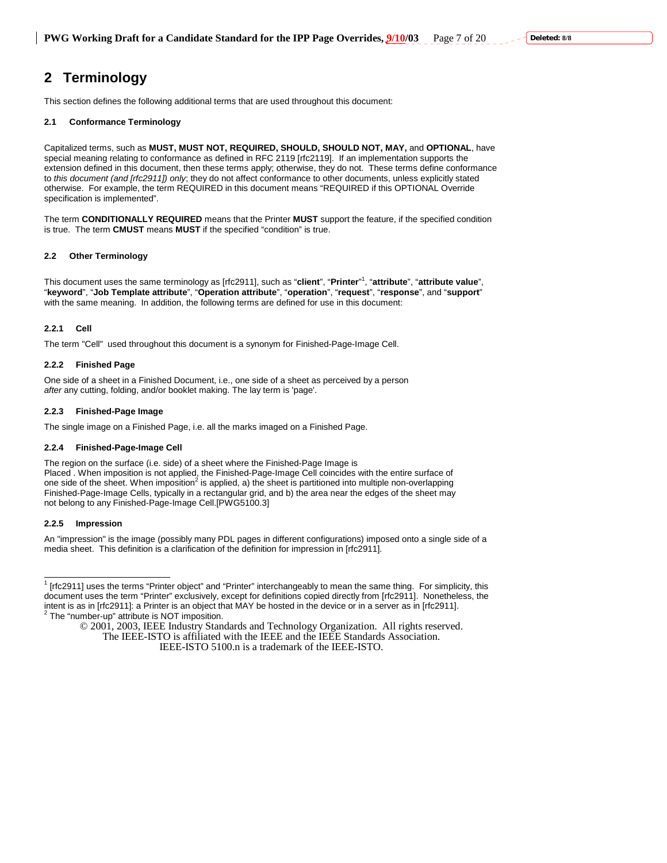# **2 Terminology**

This section defines the following additional terms that are used throughout this document:

### **2.1 Conformance Terminology**

Capitalized terms, such as **MUST, MUST NOT, REQUIRED, SHOULD, SHOULD NOT, MAY,** and **OPTIONAL**, have special meaning relating to conformance as defined in RFC 2119 [rfc2119]. If an implementation supports the extension defined in this document, then these terms apply; otherwise, they do not. These terms define conformance to *this document (and [rfc2911]) only*; they do not affect conformance to other documents, unless explicitly stated otherwise. For example, the term REQUIRED in this document means "REQUIRED if this OPTIONAL Override specification is implemented"*.* 

The term **CONDITIONALLY REQUIRED** means that the Printer **MUST** support the feature, if the specified condition is true. The term **CMUST** means **MUST** if the specified "condition" is true.

### **2.2 Other Terminology**

This document uses the same terminology as [rfc2911], such as "**client**", "**Printer**" 1 , "**attribute**", "**attribute value**", "**keyword**", "**Job Template attribute**", "**Operation attribute**", "**operation**", "**request**", "**response**", and "**support**" with the same meaning. In addition, the following terms are defined for use in this document:

# **2.2.1 Cell**

The term "Cell" used throughout this document is a synonym for Finished-Page-Image Cell.

### **2.2.2 Finished Page**

One side of a sheet in a Finished Document, i.e., one side of a sheet as perceived by a person *after* any cutting, folding, and/or booklet making. The lay term is 'page'.

# **2.2.3 Finished-Page Image**

The single image on a Finished Page, i.e. all the marks imaged on a Finished Page.

### **2.2.4 Finished-Page-Image Cell**

The region on the surface (i.e. side) of a sheet where the Finished-Page Image is Placed . When imposition is not applied, the Finished-Page-Image Cell coincides with the entire surface of one side of the sheet. When imposition<sup>2</sup> is applied, a) the sheet is partitioned into multiple non-overlapping Finished-Page-Image Cells, typically in a rectangular grid, and b) the area near the edges of the sheet may not belong to any Finished-Page-Image Cell.[PWG5100.3]

### **2.2.5 Impression**

An "impression" is the image (possibly many PDL pages in different configurations) imposed onto a single side of a media sheet. This definition is a clarification of the definition for impression in [rfc2911].

<sup>&</sup>lt;sup>1</sup> [rfc2911] uses the terms "Printer object" and "Printer" interchangeably to mean the same thing. For simplicity, this document uses the term "Printer" exclusively, except for definitions copied directly from [rfc2911]. Nonetheless, the intent is as in [rfc2911]: a Printer is an object that MAY be hosted in the device or in a server as in [rfc2911].<br><sup>2</sup> The "number-up" attribute is NOT imposition.

<sup>© 2001, 2003,</sup> IEEE Industry Standards and Technology Organization. All rights reserved. The IEEE-ISTO is affiliated with the IEEE and the IEEE Standards Association.

IEEE-ISTO 5100.n is a trademark of the IEEE-ISTO.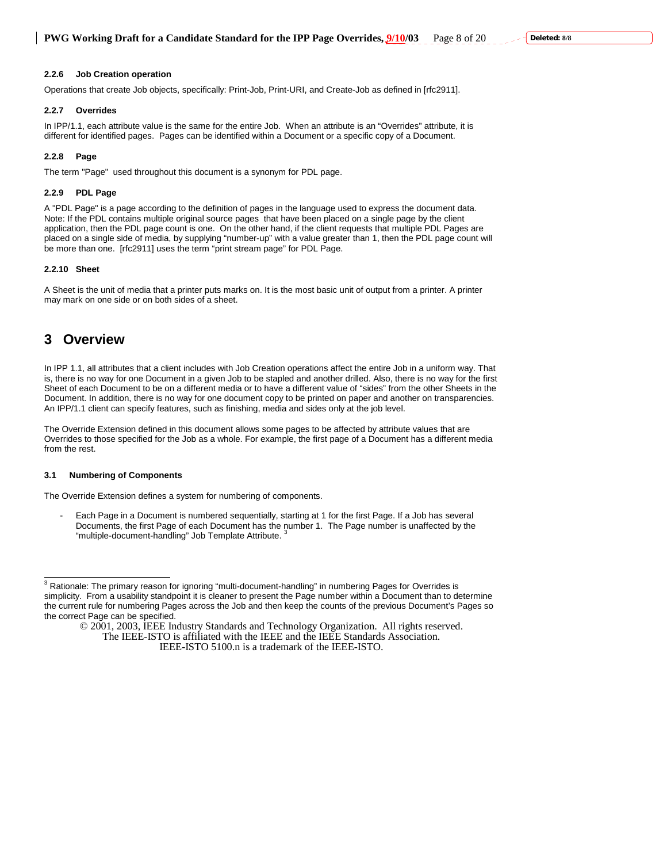#### **2.2.6 Job Creation operation**

Operations that create Job objects, specifically: Print-Job, Print-URI, and Create-Job as defined in [rfc2911].

#### **2.2.7 Overrides**

In IPP/1.1, each attribute value is the same for the entire Job. When an attribute is an "Overrides" attribute, it is different for identified pages. Pages can be identified within a Document or a specific copy of a Document.

### **2.2.8 Page**

The term "Page" used throughout this document is a synonym for PDL page.

### **2.2.9 PDL Page**

A "PDL Page" is a page according to the definition of pages in the language used to express the document data. Note: If the PDL contains multiple original source pages that have been placed on a single page by the client application, then the PDL page count is one. On the other hand, if the client requests that multiple PDL Pages are placed on a single side of media, by supplying "number-up" with a value greater than 1, then the PDL page count will be more than one. [rfc2911] uses the term "print stream page" for PDL Page.

### **2.2.10 Sheet**

A Sheet is the unit of media that a printer puts marks on. It is the most basic unit of output from a printer. A printer may mark on one side or on both sides of a sheet.

# **3 Overview**

In IPP 1.1, all attributes that a client includes with Job Creation operations affect the entire Job in a uniform way. That is, there is no way for one Document in a given Job to be stapled and another drilled. Also, there is no way for the first Sheet of each Document to be on a different media or to have a different value of "sides" from the other Sheets in the Document. In addition, there is no way for one document copy to be printed on paper and another on transparencies. An IPP/1.1 client can specify features, such as finishing, media and sides only at the job level.

The Override Extension defined in this document allows some pages to be affected by attribute values that are Overrides to those specified for the Job as a whole. For example, the first page of a Document has a different media from the rest.

#### **3.1 Numbering of Components**

The Override Extension defines a system for numbering of components.

Each Page in a Document is numbered sequentially, starting at 1 for the first Page. If a Job has several Documents, the first Page of each Document has the number 1. The Page number is unaffected by the "multiple-document-handling" Job Template Attribute. 3

<sup>&</sup>lt;sup>3</sup> Rationale: The primary reason for ignoring "multi-document-handling" in numbering Pages for Overrides is simplicity. From a usability standpoint it is cleaner to present the Page number within a Document than to determine the current rule for numbering Pages across the Job and then keep the counts of the previous Document's Pages so the correct Page can be specified.

<sup>© 2001, 2003,</sup> IEEE Industry Standards and Technology Organization. All rights reserved. The IEEE-ISTO is affiliated with the IEEE and the IEEE Standards Association.

IEEE-ISTO 5100.n is a trademark of the IEEE-ISTO.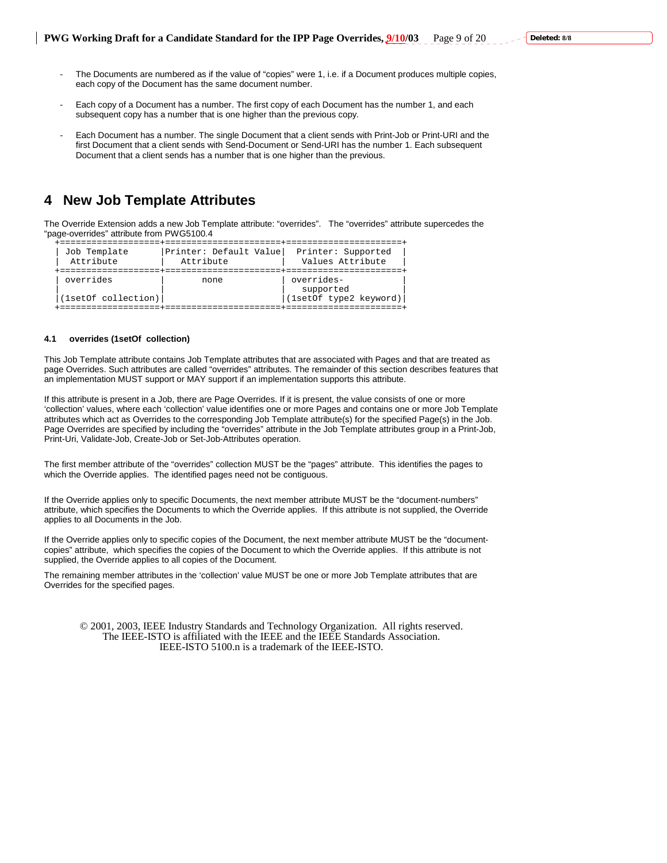- The Documents are numbered as if the value of "copies" were 1, i.e. if a Document produces multiple copies, each copy of the Document has the same document number.
- Each copy of a Document has a number. The first copy of each Document has the number 1, and each subsequent copy has a number that is one higher than the previous copy.
- Each Document has a number. The single Document that a client sends with Print-Job or Print-URI and the first Document that a client sends with Send-Document or Send-URI has the number 1. Each subsequent Document that a client sends has a number that is one higher than the previous.

# **4 New Job Template Attributes**

The Override Extension adds a new Job Template attribute: "overrides". The "overrides" attribute supercedes the "page-overrides" attribute from PWG5100.4

| Job Template                     | Printer: Default Value | Printer: Supported                                |
|----------------------------------|------------------------|---------------------------------------------------|
| Attribute                        | Attribute              | Values Attribute                                  |
| overrides<br>(1setOf collection) | none                   | overrides-<br>supported<br>(1setOf type2 keyword) |

#### **4.1 overrides (1setOf collection)**

This Job Template attribute contains Job Template attributes that are associated with Pages and that are treated as page Overrides. Such attributes are called "overrides" attributes. The remainder of this section describes features that an implementation MUST support or MAY support if an implementation supports this attribute.

If this attribute is present in a Job, there are Page Overrides. If it is present, the value consists of one or more 'collection' values, where each 'collection' value identifies one or more Pages and contains one or more Job Template attributes which act as Overrides to the corresponding Job Template attribute(s) for the specified Page(s) in the Job. Page Overrides are specified by including the "overrides" attribute in the Job Template attributes group in a Print-Job, Print-Uri, Validate-Job, Create-Job or Set-Job-Attributes operation.

The first member attribute of the "overrides" collection MUST be the "pages" attribute. This identifies the pages to which the Override applies. The identified pages need not be contiguous.

If the Override applies only to specific Documents, the next member attribute MUST be the "document-numbers" attribute, which specifies the Documents to which the Override applies. If this attribute is not supplied, the Override applies to all Documents in the Job.

If the Override applies only to specific copies of the Document, the next member attribute MUST be the "documentcopies" attribute, which specifies the copies of the Document to which the Override applies. If this attribute is not supplied, the Override applies to all copies of the Document.

The remaining member attributes in the 'collection' value MUST be one or more Job Template attributes that are Overrides for the specified pages.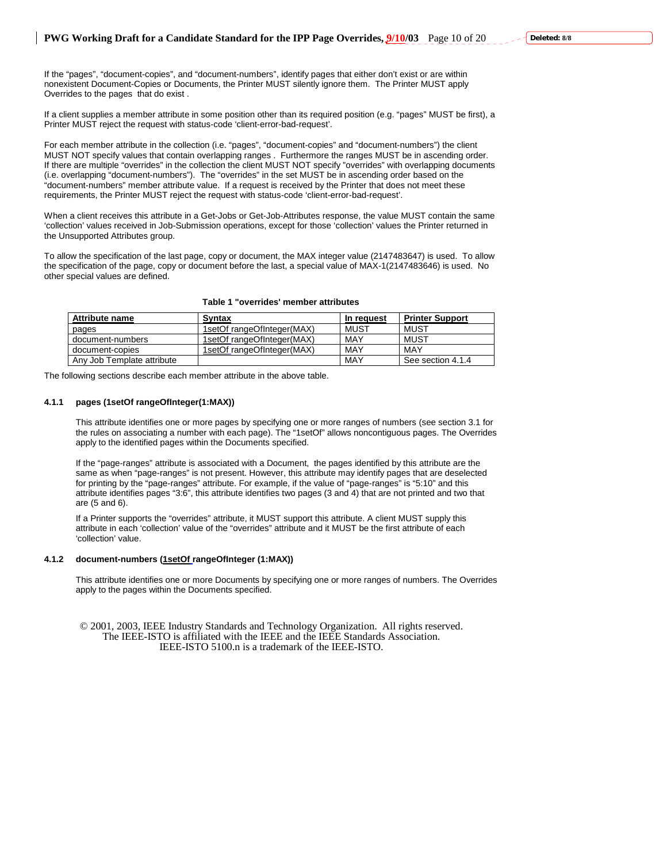If the "pages", "document-copies", and "document-numbers", identify pages that either don't exist or are within nonexistent Document-Copies or Documents, the Printer MUST silently ignore them. The Printer MUST apply Overrides to the pages that do exist .

If a client supplies a member attribute in some position other than its required position (e.g. "pages" MUST be first), a Printer MUST reject the request with status-code 'client-error-bad-request'.

For each member attribute in the collection (i.e. "pages", "document-copies" and "document-numbers") the client MUST NOT specify values that contain overlapping ranges . Furthermore the ranges MUST be in ascending order. If there are multiple "overrides" in the collection the client MUST NOT specify "overrides" with overlapping documents (i.e. overlapping "document-numbers"). The "overrides" in the set MUST be in ascending order based on the "document-numbers" member attribute value. If a request is received by the Printer that does not meet these requirements, the Printer MUST reject the request with status-code 'client-error-bad-request'.

When a client receives this attribute in a Get-Jobs or Get-Job-Attributes response, the value MUST contain the same 'collection' values received in Job-Submission operations, except for those 'collection' values the Printer returned in the Unsupported Attributes group.

To allow the specification of the last page, copy or document, the MAX integer value (2147483647) is used. To allow the specification of the page, copy or document before the last, a special value of MAX-1(2147483646) is used. No other special values are defined.

| <b>Attribute name</b>      | Syntax                     | In request | <b>Printer Support</b> |
|----------------------------|----------------------------|------------|------------------------|
| pages                      | 1setOf rangeOfInteger(MAX) | MUST       | MUST                   |
| document-numbers           | 1setOf rangeOfInteger(MAX) | MAY        | MUST                   |
| document-copies            | 1setOf rangeOfInteger(MAX) | MAY        | MAY                    |
| Any Job Template attribute |                            | MAY        | See section 4.1.4      |

The following sections describe each member attribute in the above table.

#### **4.1.1 pages (1setOf rangeOfInteger(1:MAX))**

This attribute identifies one or more pages by specifying one or more ranges of numbers (see section 3.1 for the rules on associating a number with each page). The "1setOf" allows noncontiguous pages. The Overrides apply to the identified pages within the Documents specified.

If the "page-ranges" attribute is associated with a Document, the pages identified by this attribute are the same as when "page-ranges" is not present. However, this attribute may identify pages that are deselected for printing by the "page-ranges" attribute. For example, if the value of "page-ranges" is "5:10" and this attribute identifies pages "3:6", this attribute identifies two pages (3 and 4) that are not printed and two that are (5 and 6).

If a Printer supports the "overrides" attribute, it MUST support this attribute. A client MUST supply this attribute in each 'collection' value of the "overrides" attribute and it MUST be the first attribute of each 'collection' value.

# **4.1.2 document-numbers (1setOf rangeOfInteger (1:MAX))**

This attribute identifies one or more Documents by specifying one or more ranges of numbers. The Overrides apply to the pages within the Documents specified.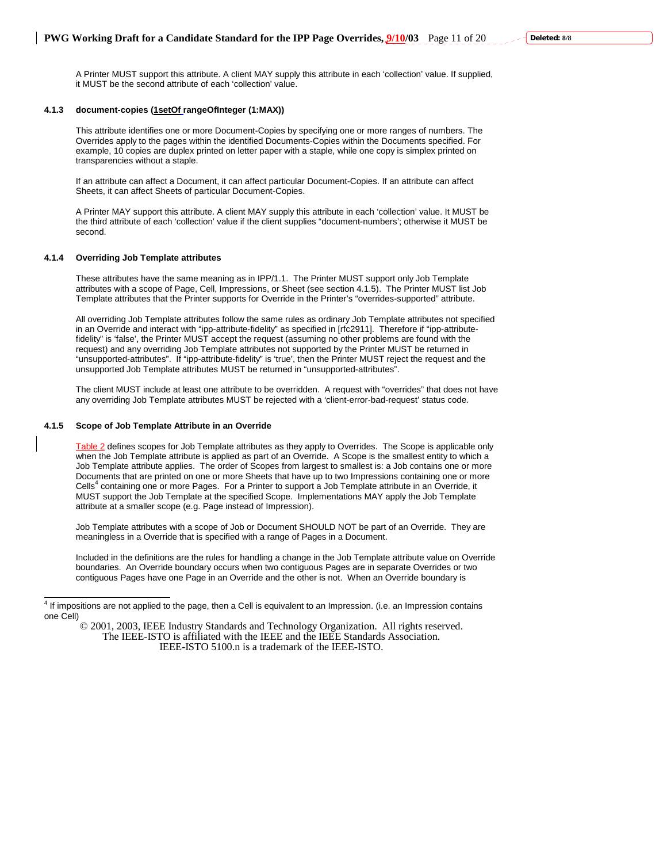A Printer MUST support this attribute. A client MAY supply this attribute in each 'collection' value. If supplied, it MUST be the second attribute of each 'collection' value.

#### **4.1.3 document-copies (1setOf rangeOfInteger (1:MAX))**

This attribute identifies one or more Document-Copies by specifying one or more ranges of numbers. The Overrides apply to the pages within the identified Documents-Copies within the Documents specified. For example, 10 copies are duplex printed on letter paper with a staple, while one copy is simplex printed on transparencies without a staple.

If an attribute can affect a Document, it can affect particular Document-Copies. If an attribute can affect Sheets, it can affect Sheets of particular Document-Copies.

A Printer MAY support this attribute. A client MAY supply this attribute in each 'collection' value. It MUST be the third attribute of each 'collection' value if the client supplies "document-numbers'; otherwise it MUST be second.

#### **4.1.4 Overriding Job Template attributes**

These attributes have the same meaning as in IPP/1.1. The Printer MUST support only Job Template attributes with a scope of Page, Cell, Impressions, or Sheet (see section 4.1.5). The Printer MUST list Job Template attributes that the Printer supports for Override in the Printer's "overrides-supported" attribute.

All overriding Job Template attributes follow the same rules as ordinary Job Template attributes not specified in an Override and interact with "ipp-attribute-fidelity" as specified in [rfc2911]. Therefore if "ipp-attributefidelity" is 'false', the Printer MUST accept the request (assuming no other problems are found with the request) and any overriding Job Template attributes not supported by the Printer MUST be returned in "unsupported-attributes". If "ipp-attribute-fidelity" is 'true', then the Printer MUST reject the request and the unsupported Job Template attributes MUST be returned in "unsupported-attributes".

The client MUST include at least one attribute to be overridden. A request with "overrides" that does not have any overriding Job Template attributes MUST be rejected with a 'client-error-bad-request' status code.

### **4.1.5 Scope of Job Template Attribute in an Override**

Table 2 defines scopes for Job Template attributes as they apply to Overrides. The Scope is applicable only when the Job Template attribute is applied as part of an Override. A Scope is the smallest entity to which a Job Template attribute applies. The order of Scopes from largest to smallest is: a Job contains one or more Documents that are printed on one or more Sheets that have up to two Impressions containing one or more Cells<sup>4</sup> containing one or more Pages. For a Printer to support a Job Template attribute in an Override, it MUST support the Job Template at the specified Scope. Implementations MAY apply the Job Template attribute at a smaller scope (e.g. Page instead of Impression).

Job Template attributes with a scope of Job or Document SHOULD NOT be part of an Override. They are meaningless in a Override that is specified with a range of Pages in a Document.

Included in the definitions are the rules for handling a change in the Job Template attribute value on Override boundaries. An Override boundary occurs when two contiguous Pages are in separate Overrides or two contiguous Pages have one Page in an Override and the other is not. When an Override boundary is

<sup>4&</sup>lt;br>A If impositions are not applied to the page, then a Cell is equivalent to an Impression. (i.e. an Impression contains one Cell)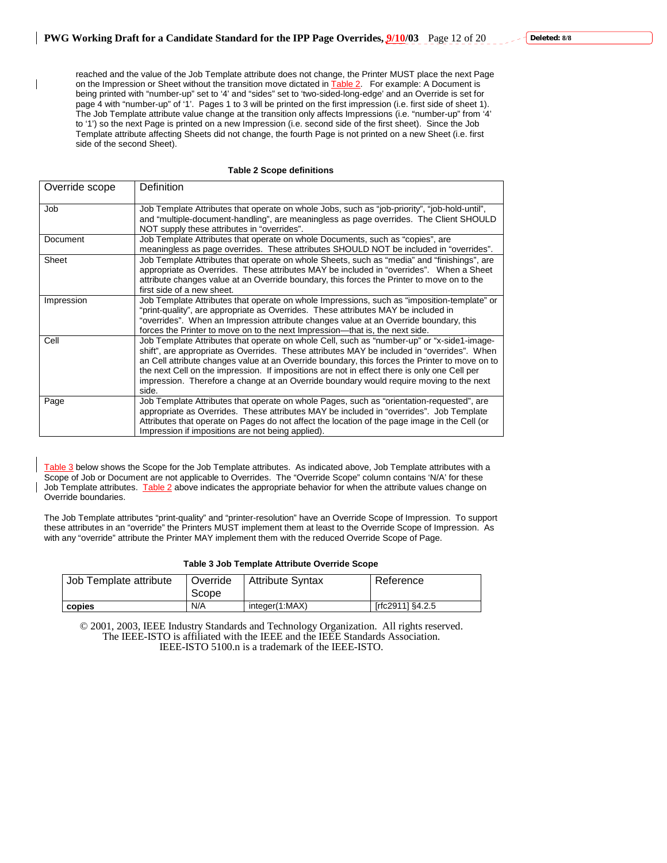reached and the value of the Job Template attribute does not change, the Printer MUST place the next Page on the Impression or Sheet without the transition move dictated in **Table 2.** For example: A Document is being printed with "number-up" set to '4' and "sides" set to 'two-sided-long-edge' and an Override is set for page 4 with "number-up" of '1'. Pages 1 to 3 will be printed on the first impression (i.e. first side of sheet 1). The Job Template attribute value change at the transition only affects Impressions (i.e. "number-up" from '4' to '1') so the next Page is printed on a new Impression (i.e. second side of the first sheet). Since the Job Template attribute affecting Sheets did not change, the fourth Page is not printed on a new Sheet (i.e. first side of the second Sheet).

#### **Table 2 Scope definitions**

| Override scope | Definition                                                                                                                                                                                                                                                                                                                                                                                                                                                                                      |
|----------------|-------------------------------------------------------------------------------------------------------------------------------------------------------------------------------------------------------------------------------------------------------------------------------------------------------------------------------------------------------------------------------------------------------------------------------------------------------------------------------------------------|
| Job            | Job Template Attributes that operate on whole Jobs, such as "job-priority", "job-hold-until",<br>and "multiple-document-handling", are meaningless as page overrides. The Client SHOULD<br>NOT supply these attributes in "overrides".                                                                                                                                                                                                                                                          |
| Document       | Job Template Attributes that operate on whole Documents, such as "copies", are<br>meaningless as page overrides. These attributes SHOULD NOT be included in "overrides".                                                                                                                                                                                                                                                                                                                        |
| Sheet          | Job Template Attributes that operate on whole Sheets, such as "media" and "finishings", are<br>appropriate as Overrides. These attributes MAY be included in "overrides". When a Sheet<br>attribute changes value at an Override boundary, this forces the Printer to move on to the<br>first side of a new sheet.                                                                                                                                                                              |
| Impression     | Job Template Attributes that operate on whole Impressions, such as "imposition-template" or<br>"print-quality", are appropriate as Overrides. These attributes MAY be included in<br>"overrides". When an Impression attribute changes value at an Override boundary, this<br>forces the Printer to move on to the next Impression—that is, the next side.                                                                                                                                      |
| Cell           | Job Template Attributes that operate on whole Cell, such as "number-up" or "x-side1-image-<br>shift", are appropriate as Overrides. These attributes MAY be included in "overrides". When<br>an Cell attribute changes value at an Override boundary, this forces the Printer to move on to<br>the next Cell on the impression. If impositions are not in effect there is only one Cell per<br>impression. Therefore a change at an Override boundary would require moving to the next<br>side. |
| Page           | Job Template Attributes that operate on whole Pages, such as "orientation-requested", are<br>appropriate as Overrides. These attributes MAY be included in "overrides". Job Template<br>Attributes that operate on Pages do not affect the location of the page image in the Cell (or<br>Impression if impositions are not being applied).                                                                                                                                                      |

Table 3 below shows the Scope for the Job Template attributes. As indicated above, Job Template attributes with a Scope of Job or Document are not applicable to Overrides. The "Override Scope" column contains 'N/A' for these Job Template attributes. Table 2 above indicates the appropriate behavior for when the attribute values change on Override boundaries.

The Job Template attributes "print-quality" and "printer-resolution" have an Override Scope of Impression. To support these attributes in an "override" the Printers MUST implement them at least to the Override Scope of Impression. As with any "override" attribute the Printer MAY implement them with the reduced Override Scope of Page.

#### **Table 3 Job Template Attribute Override Scope**

| Job Template attribute | Override<br>Scope | <b>Attribute Syntax</b> | Reference        |
|------------------------|-------------------|-------------------------|------------------|
| copies                 | N/A               | integer(1:MAX)          | frfc29111 §4.2.5 |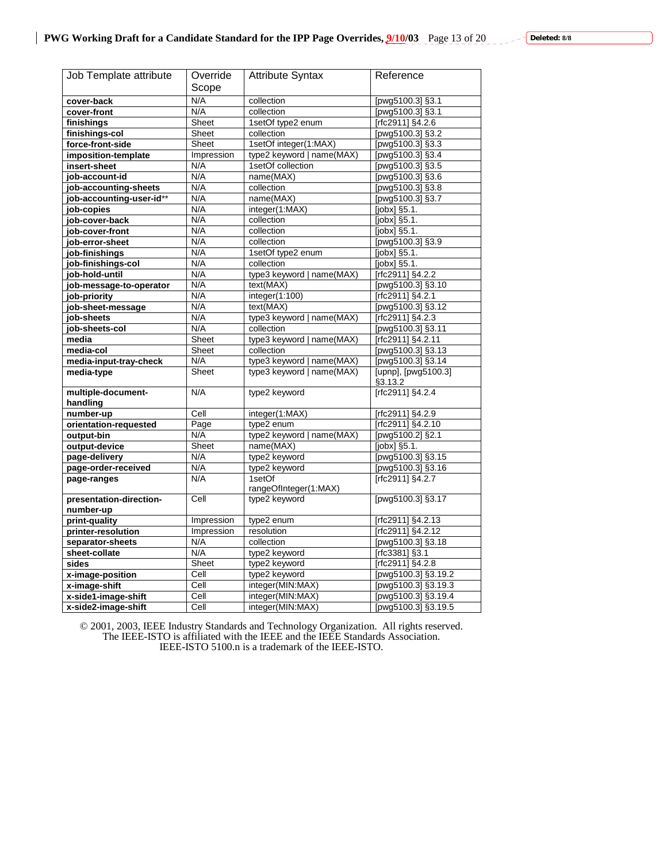| Job Template attribute   | Override   | <b>Attribute Syntax</b>         | Reference                      |
|--------------------------|------------|---------------------------------|--------------------------------|
|                          | Scope      |                                 |                                |
| cover-back               | N/A        | collection                      | [pwg5100.3] §3.1               |
| cover-front              | N/A        | collection                      | [pwg5100.3] §3.1               |
| finishings               | Sheet      | 1setOf type2 enum               | [rfc2911] §4.2.6               |
| finishings-col           | Sheet      | collection                      | [pwg5100.3] §3.2               |
| force-front-side         | Sheet      | 1setOf integer(1:MAX)           | [pwg5100.3] §3.3               |
| imposition-template      | Impression | type2 keyword   name(MAX)       | [pwg5100.3] §3.4               |
| insert-sheet             | N/A        | 1setOf collection               | [pwg5100.3] §3.5               |
| job-account-id           | N/A        | name(MAX)                       | [pwg5100.3] §3.6               |
| job-accounting-sheets    | N/A        | collection                      | [pwg5100.3] §3.8               |
| job-accounting-user-id** | N/A        | name(MAX)                       | [pwg5100.3] §3.7               |
| job-copies               | N/A        | integer(1.MAX)                  | $[jobx]$ §5.1.                 |
| job-cover-back           | N/A        | collection                      | $[jobx]$ §5.1.                 |
| job-cover-front          | N/A        | collection                      | $[jobx]$ §5.1.                 |
|                          | N/A        | collection                      | [pwg5100.3] §3.9               |
| job-error-sheet          | N/A        | 1setOf type2 enum               | [jobx] §5.1.                   |
| job-finishings           |            |                                 |                                |
| job-finishings-col       | N/A        | collection                      | $[jobx]$ §5.1.                 |
| job-hold-until           | N/A        | type3 keyword   name(MAX)       | [rfc2911] §4.2.2               |
| job-message-to-operator  | N/A        | text(MAX)                       | [pwg5100.3] §3.10              |
| job-priority             | N/A        | integer(1:100)                  | [rfc2911] §4.2.1               |
| job-sheet-message        | N/A        | text(MAX)                       | [pwg5100.3] §3.12              |
| job-sheets               | N/A        | type3 keyword   name(MAX)       | [rfc2911] §4.2.3               |
| job-sheets-col           | N/A        | collection                      | [pwg5100.3] §3.11              |
| media                    | Sheet      | type3 keyword   name(MAX)       | [rfc2911] §4.2.11              |
| media-col                | Sheet      | collection                      | [pwg5100.3] §3.13              |
| media-input-tray-check   | N/A        | type3 keyword   name(MAX)       | [pwg5100.3] §3.14              |
| media-type               | Sheet      | type3 keyword   name(MAX)       | [upnp], [pwg5100.3]<br>§3.13.2 |
| multiple-document-       | N/A        | type2 keyword                   | [rfc2911] §4.2.4               |
| handling                 |            |                                 |                                |
| number-up                | Cell       | integer(1:MAX)                  | [rfc2911] §4.2.9               |
| orientation-requested    | Page       | type2 enum                      | [rfc2911] §4.2.10              |
| output-bin               | N/A        | type2 keyword  <br>name(MAX)    | [pwg5100.2] §2.1               |
| output-device            | Sheet      | name(MAX)                       | [jobx] §5.1.                   |
| page-delivery            | N/A        | type2 keyword                   | [pwg5100.3] §3.15              |
| page-order-received      | N/A        | type2 keyword                   | [pwg5100.3] §3.16              |
| page-ranges              | N/A        | 1setOf<br>rangeOfInteger(1:MAX) | [rfc2911] §4.2.7               |
| presentation-direction-  | Cell       | type2 keyword                   | [pwg5100.3] §3.17              |
| number-up                |            |                                 |                                |
| print-quality            | Impression | type2 enum                      | [rfc2911] §4.2.13              |
| printer-resolution       | Impression | resolution                      | [rfc2911] §4.2.12              |
| separator-sheets         | N/A        | collection                      | [pwg5100.3] §3.18              |
| sheet-collate            | N/A        | type2 keyword                   | [rfc3381] §3.1                 |
| sides                    | Sheet      | type2 keyword                   | $[rfc2911]$ §4.2.8             |
| x-image-position         | Cell       | type2 keyword                   | [pwg5100.3] §3.19.2            |
| x-image-shift            | Cell       | integer(MIN:MAX)                | [pwg5100.3] §3.19.3            |
| x-side1-image-shift      | Cell       | integer(MIN:MAX)                | [pwg5100.3] §3.19.4            |
|                          |            |                                 |                                |
| x-side2-image-shift      | Cell       | integer(MIN:MAX)                | [pwg5100.3] §3.19.5            |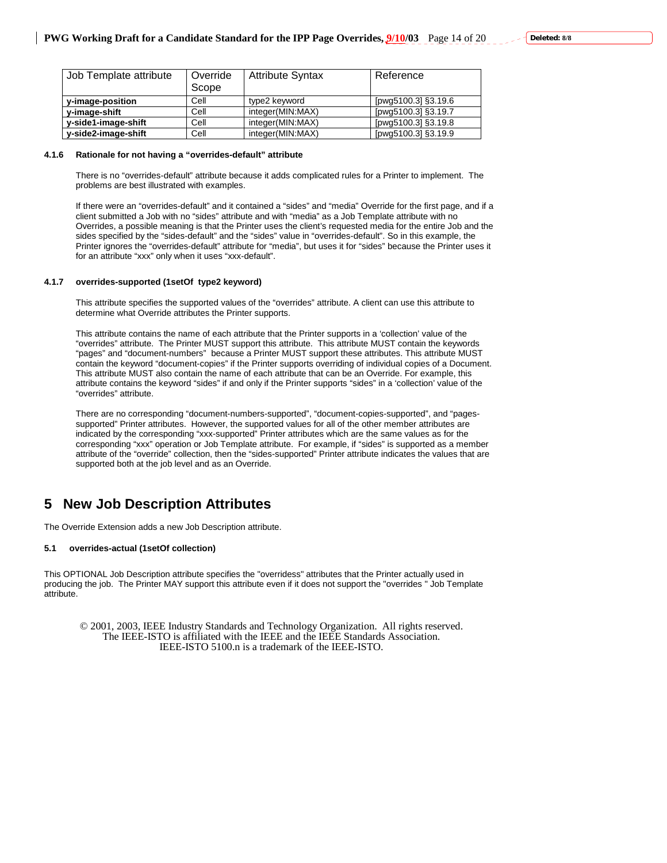| Job Template attribute | Override | <b>Attribute Syntax</b> | Reference           |
|------------------------|----------|-------------------------|---------------------|
|                        | Scope    |                         |                     |
| y-image-position       | Cell     | type2 keyword           | [pwg5100.3] §3.19.6 |
| v-image-shift          | Cell     | integer(MIN:MAX)        | [pwg5100.3] §3.19.7 |
| y-side1-image-shift    | Cell     | integer(MIN:MAX)        | [pwg5100.3] §3.19.8 |
| y-side2-image-shift    | Cell     | integer(MIN:MAX)        | [pwg5100.3] §3.19.9 |

#### **4.1.6 Rationale for not having a "overrides-default" attribute**

There is no "overrides-default" attribute because it adds complicated rules for a Printer to implement. The problems are best illustrated with examples.

If there were an "overrides-default" and it contained a "sides" and "media" Override for the first page, and if a client submitted a Job with no "sides" attribute and with "media" as a Job Template attribute with no Overrides, a possible meaning is that the Printer uses the client's requested media for the entire Job and the sides specified by the "sides-default" and the "sides" value in "overrides-default". So in this example, the Printer ignores the "overrides-default" attribute for "media", but uses it for "sides" because the Printer uses it for an attribute "xxx" only when it uses "xxx-default".

#### **4.1.7 overrides-supported (1setOf type2 keyword)**

This attribute specifies the supported values of the "overrides" attribute. A client can use this attribute to determine what Override attributes the Printer supports.

This attribute contains the name of each attribute that the Printer supports in a 'collection' value of the "overrides" attribute. The Printer MUST support this attribute. This attribute MUST contain the keywords "pages" and "document-numbers" because a Printer MUST support these attributes. This attribute MUST contain the keyword "document-copies" if the Printer supports overriding of individual copies of a Document. This attribute MUST also contain the name of each attribute that can be an Override. For example, this attribute contains the keyword "sides" if and only if the Printer supports "sides" in a 'collection' value of the "overrides" attribute.

There are no corresponding "document-numbers-supported", "document-copies-supported", and "pagessupported" Printer attributes. However, the supported values for all of the other member attributes are indicated by the corresponding "xxx-supported" Printer attributes which are the same values as for the corresponding "xxx" operation or Job Template attribute. For example, if "sides" is supported as a member attribute of the "override" collection, then the "sides-supported" Printer attribute indicates the values that are supported both at the job level and as an Override.

# **5 New Job Description Attributes**

The Override Extension adds a new Job Description attribute.

#### **5.1 overrides-actual (1setOf collection)**

This OPTIONAL Job Description attribute specifies the "overridess" attributes that the Printer actually used in producing the job. The Printer MAY support this attribute even if it does not support the "overrides " Job Template attribute.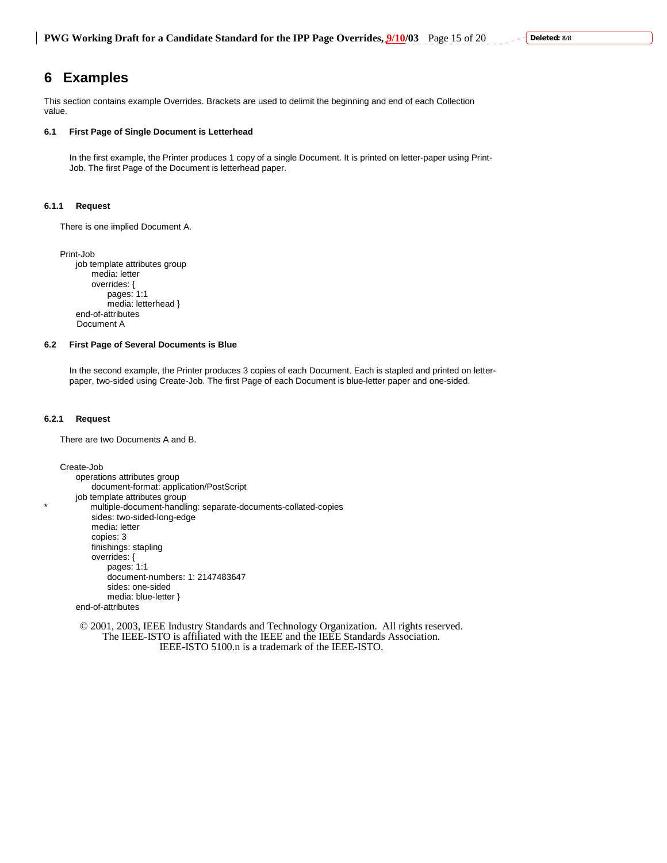# **6 Examples**

This section contains example Overrides. Brackets are used to delimit the beginning and end of each Collection value.

#### **6.1 First Page of Single Document is Letterhead**

In the first example, the Printer produces 1 copy of a single Document. It is printed on letter-paper using Print-Job. The first Page of the Document is letterhead paper.

### **6.1.1 Request**

There is one implied Document A.

Print-Job job template attributes group media: letter overrides: { pages: 1:1 media: letterhead } end-of-attributes Document A

#### **6.2 First Page of Several Documents is Blue**

In the second example, the Printer produces 3 copies of each Document. Each is stapled and printed on letterpaper, two-sided using Create-Job. The first Page of each Document is blue-letter paper and one-sided.

### **6.2.1 Request**

There are two Documents A and B.

Create-Job operations attributes group document-format: application/PostScript job template attributes group multiple-document-handling: separate-documents-collated-copies sides: two-sided-long-edge media: letter copies: 3 finishings: stapling overrides: { pages: 1:1 document-numbers: 1: 2147483647 sides: one-sided media: blue-letter }

end-of-attributes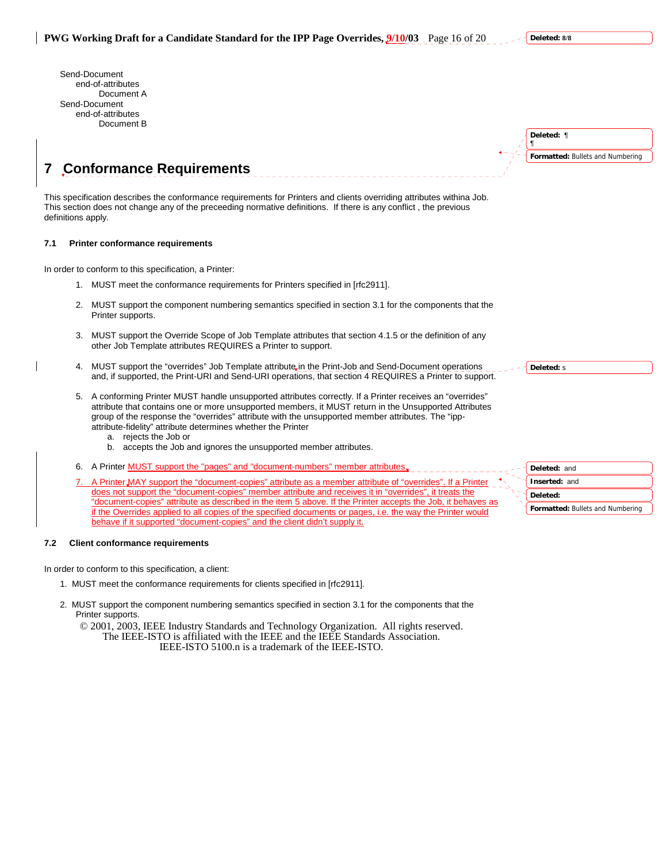Send-Document end-of-attributes Document A Send-Document end-of-attributes Document B

| Deleted: ¶                       |
|----------------------------------|
| Formatted: Bullets and Numbering |
|                                  |

# **7 Conformance Requirements**

This specification describes the conformance requirements for Printers and clients overriding attributes withina Job. This section does not change any of the preceeding normative definitions. If there is any conflict , the previous definitions apply.

### **7.1 Printer conformance requirements**

In order to conform to this specification, a Printer:

- 1. MUST meet the conformance requirements for Printers specified in [rfc2911].
- 2. MUST support the component numbering semantics specified in section 3.1 for the components that the Printer supports.
- 3. MUST support the Override Scope of Job Template attributes that section 4.1.5 or the definition of any other Job Template attributes REQUIRES a Printer to support.
- 4. MUST support the "overrides" Job Template attribute in the Print-Job and Send-Document operations and, if supported, the Print-URI and Send-URI operations, that section 4 REQUIRES a Printer to support.
- 5. A conforming Printer MUST handle unsupported attributes correctly. If a Printer receives an "overrides" attribute that contains one or more unsupported members, it MUST return in the Unsupported Attributes group of the response the "overrides" attribute with the unsupported member attributes. The "ippattribute-fidelity" attribute determines whether the Printer
	- a. rejects the Job or
	- b. accepts the Job and ignores the unsupported member attributes.
- 6. A Printer **MUST** support the "pages" and "document-numbers" member attributes,
- A Printer MAY support the "document-copies" attribute as a member attribute of "overrides". If a Printer does not support the "document-copies" member attribute and receives it in "overrides", it treats the "document-copies" attribute as described in the item 5 above. If the Printer accepts the Job, it behaves as if the Overrides applied to all copies of the specified documents or pages, i.e. the way the Printer would behave if it supported "document-copies" and the client didn't supply it.

#### **7.2 Client conformance requirements**

In order to conform to this specification, a client:

- 1. MUST meet the conformance requirements for clients specified in [rfc2911].
- 2. MUST support the component numbering semantics specified in section 3.1 for the components that the Printer supports.

© 2001, 2003, IEEE Industry Standards and Technology Organization. All rights reserved. The IEEE-ISTO is affiliated with the IEEE and the IEEE Standards Association. IEEE-ISTO 5100.n is a trademark of the IEEE-ISTO.

**Deleted:** s

**Formatted:** Bullets and Numbering **Deleted:** and **Inserted:** and **Deleted:** 

**Deleted: 8/8**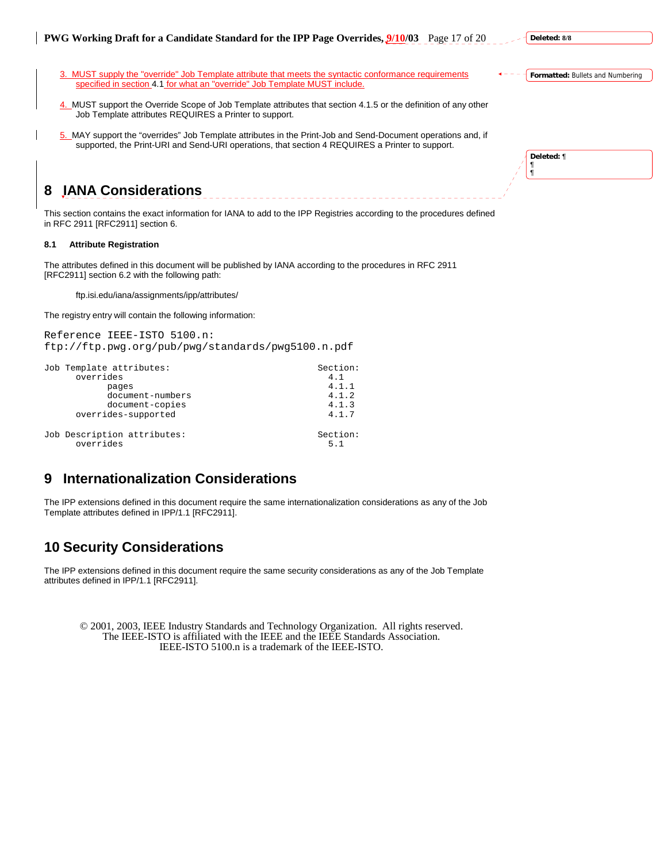

**Deleted:** ¶ ¶ ¶

5. MAY support the "overrides" Job Template attributes in the Print-Job and Send-Document operations and, if supported, the Print-URI and Send-URI operations, that section 4 REQUIRES a Printer to support.

# **8 IANA Considerations**

This section contains the exact information for IANA to add to the IPP Registries according to the procedures defined in RFC 2911 [RFC2911] section 6.

# **8.1 Attribute Registration**

The attributes defined in this document will be published by IANA according to the procedures in RFC 2911 [RFC2911] section 6.2 with the following path:

ftp.isi.edu/iana/assignments/ipp/attributes/

The registry entry will contain the following information:

Reference IEEE-ISTO 5100.n: ftp://ftp.pwg.org/pub/pwg/standards/pwg5100.n.pdf

| Job Template attributes:    | Section: |
|-----------------------------|----------|
| overrides                   | 4.1      |
| pages                       | 4.1.1    |
| document-numbers            | 4.1.2    |
| document-copies             | 4.1.3    |
| overrides-supported         | 4.1.7    |
| Job Description attributes: | Section: |
| overrides                   | 5.1      |

# **9 Internationalization Considerations**

The IPP extensions defined in this document require the same internationalization considerations as any of the Job Template attributes defined in IPP/1.1 [RFC2911].

# **10 Security Considerations**

The IPP extensions defined in this document require the same security considerations as any of the Job Template attributes defined in IPP/1.1 [RFC2911].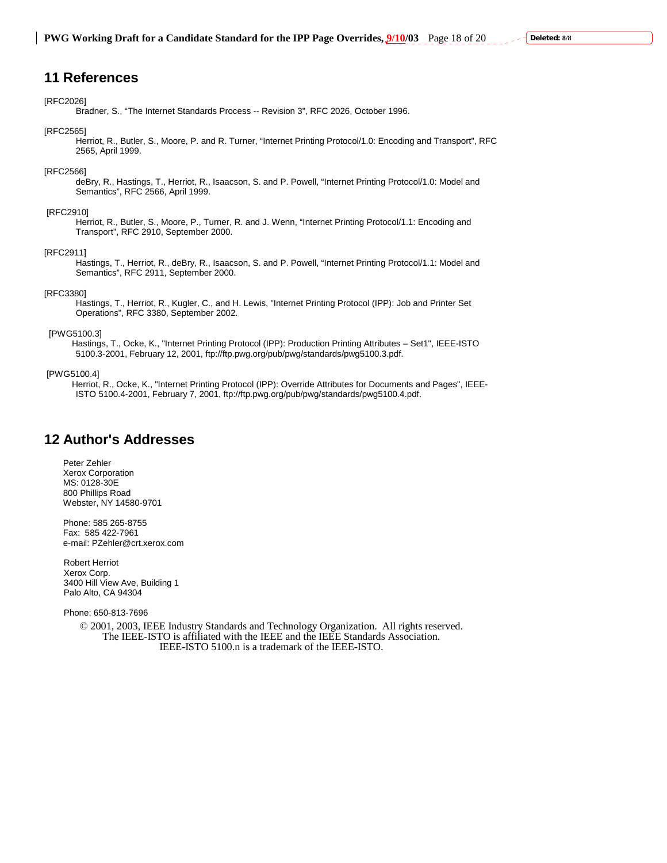# **11 References**

#### [RFC2026]

Bradner, S., "The Internet Standards Process -- Revision 3", RFC 2026, October 1996.

#### [RFC2565]

 Herriot, R., Butler, S., Moore, P. and R. Turner, "Internet Printing Protocol/1.0: Encoding and Transport", RFC 2565, April 1999.

#### [RFC2566]

 deBry, R., Hastings, T., Herriot, R., Isaacson, S. and P. Powell, "Internet Printing Protocol/1.0: Model and Semantics", RFC 2566, April 1999.

#### [RFC2910]

 Herriot, R., Butler, S., Moore, P., Turner, R. and J. Wenn, "Internet Printing Protocol/1.1: Encoding and Transport", RFC 2910, September 2000.

### [RFC2911]

 Hastings, T., Herriot, R., deBry, R., Isaacson, S. and P. Powell, "Internet Printing Protocol/1.1: Model and Semantics", RFC 2911, September 2000.

#### [RFC3380]

 Hastings, T., Herriot, R., Kugler, C., and H. Lewis, "Internet Printing Protocol (IPP): Job and Printer Set Operations", RFC 3380, September 2002.

### [PWG5100.3]

 Hastings, T., Ocke, K., "Internet Printing Protocol (IPP): Production Printing Attributes – Set1", IEEE-ISTO 5100.3-2001, February 12, 2001, ftp://ftp.pwg.org/pub/pwg/standards/pwg5100.3.pdf.

### [PWG5100.4]

 Herriot, R., Ocke, K., "Internet Printing Protocol (IPP): Override Attributes for Documents and Pages", IEEE-ISTO 5100.4-2001, February 7, 2001, ftp://ftp.pwg.org/pub/pwg/standards/pwg5100.4.pdf.

# **12 Author's Addresses**

Peter Zehler Xerox Corporation MS: 0128-30E 800 Phillips Road Webster, NY 14580-9701

Phone: 585 265-8755 Fax: 585 422-7961 e-mail: PZehler@crt.xerox.com

Robert Herriot Xerox Corp. 3400 Hill View Ave, Building 1 Palo Alto, CA 94304

Phone: 650-813-7696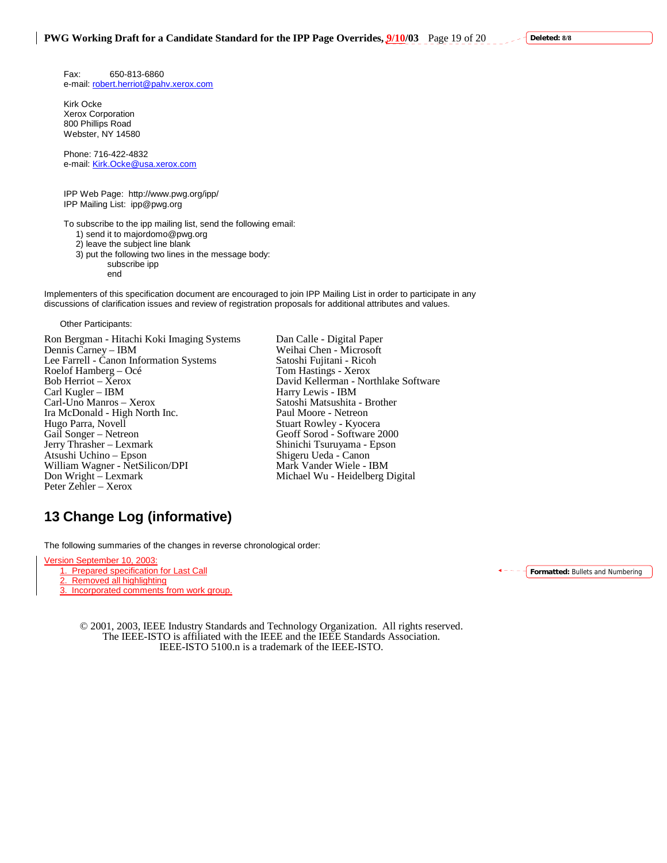Fax: 650-813-6860 e-mail: robert.herriot@pahv.xerox.com

Kirk Ocke Xerox Corporation 800 Phillips Road Webster, NY 14580

Phone: 716-422-4832 e-mail: Kirk.Ocke@usa.xerox.com

IPP Web Page: http://www.pwg.org/ipp/ IPP Mailing List: ipp@pwg.org

To subscribe to the ipp mailing list, send the following email:

1) send it to majordomo@pwg.org

2) leave the subject line blank

3) put the following two lines in the message body:

subscribe ipp end

Implementers of this specification document are encouraged to join IPP Mailing List in order to participate in any discussions of clarification issues and review of registration proposals for additional attributes and values.

Other Participants:

Ron Bergman - Hitachi Koki Imaging Systems Dan Calle - Digital Paper Dennis Carney – IBM Weihai Chen - Microsoft Lee Farrell - Čanon Information Systems Satoshi Fujitani - Rico<br>Roelof Hamberg – Océ Tom Hastings - Xerox Roelof Hamberg – Océ Bob Herriot – Xerox David Kellerman - Northlake Software Carl Kugler – IBM Harry Lewis - IBM Carl-Uno Manros – Xerox Satoshi Matsushita - E<br>Ira McDonald - High North Inc. Paul Moore - Netreon Ira McDonald - High North Inc.<br>Hugo Parra, Novell Gail Songer – Netreon Geoff Sorod - Software 2000 Jerry Thrasher – Lexmark Shinichi Tsuruyama - Epson Atsushi Uchino – Epson Shigeru Ueda - Canon<br>
William Wagner - NetSilicon/DPI Mark Vander Wiele - IBM William Wagner - NetSilicon/DPI Don Wright – Lexmark Michael Wu - Heidelberg Digital Peter Zehler – Xerox

Stuart Rowley - Kyocera

# **13 Change Log (informative)**

The following summaries of the changes in reverse chronological order:

Version September 10, 2003: 1. Prepared specification for Last Call

2. Removed all highlighting

3. Incorporated comments from work group.

**Formatted:** Bullets and Numbering